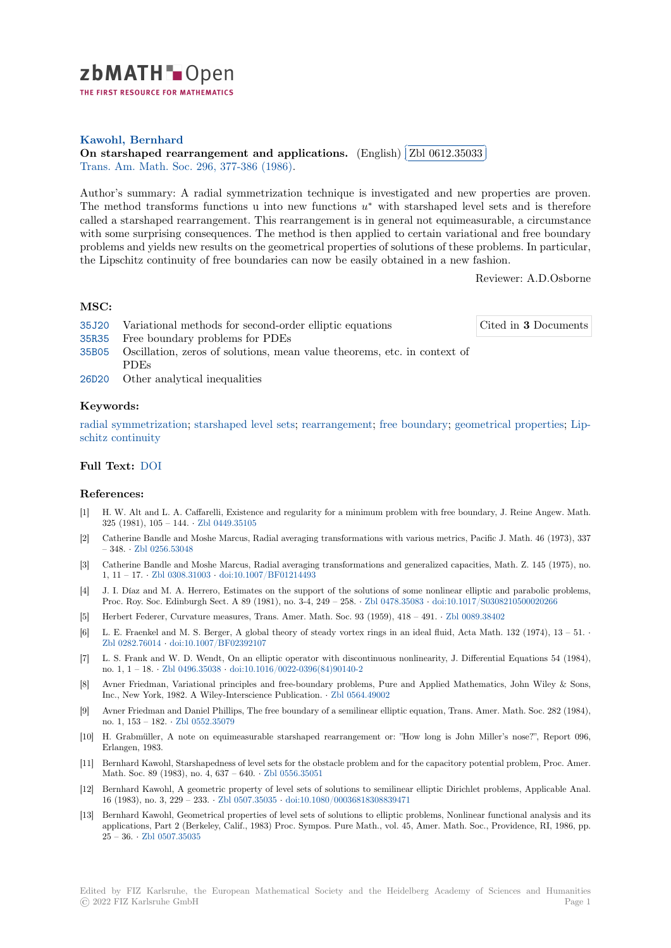

**Kawohl, Bernhard**

**[O](https://zbmath.org/)n starshaped rearrangement and applications.** (English) ✄ ✂ Zbl 0612.35033 ĺ. ✁ Trans. Am. Math. Soc. 296, 377-386 (1986).

[Author's summary: A](https://zbmath.org/authors/?q=ai:kawohl.bernd) radial symmetrization technique is investigated and new properties are proven. [The method transforms functions u into new function](https://zbmath.org/0612.35033)s *u ∗* with [starshaped level s](https://zbmath.org/0612.35033)ets and is therefore [called a starshaped rear](https://zbmath.org/journals/?q=se:744)[rangement. This rea](https://zbmath.org/?q=in:151932)rrangement is in general not equimeasurable, a circumstance with some surprising consequences. The method is then applied to certain variational and free boundary problems and yields new results on the geometrical properties of solutions of these problems. In particular, the Lipschitz continuity of free boundaries can now be easily obtained in a new fashion.

Reviewer: A.D.Osborne

## **MSC:**

| 35J20 Variational methods for second-order elliptic equations                  | Cited in 3 Documents |
|--------------------------------------------------------------------------------|----------------------|
| 35R35 Free boundary problems for PDEs                                          |                      |
| 35B05 Oscillation, zeros of solutions, mean value theorems, etc. in context of |                      |
| <b>PDEs</b>                                                                    |                      |
| 26D20 Other analytical inequalities                                            |                      |

## **[Keyw](https://zbmath.org/classification/?q=cc:35B05)ords:**

radial symmetrization; starshaped level sets; rearrangement; free boundary; geometrical properties; Lip[schitz](https://zbmath.org/classification/?q=cc:26D20) continuity

## **Full Text:** DOI

## **[References:](https://zbmath.org/?q=ut:Lipschitz+continuity)**

- [1] H. W. Alt and L. A. Caffarelli, Existence and regularity for a minimum problem with free boundary, J. Reine Angew. Math. 325 (1981[\), 105](https://dx.doi.org/10.2307/2000580) – 144. *·* Zbl 0449.35105
- [2] Catherine Bandle and Moshe Marcus, Radial averaging transformations with various metrics, Pacific J. Math. 46 (1973), 337 – 348. *·* Zbl 0256.53048
- [3] Catherine Bandle and Moshe Marcus, Radial averaging transformations and generalized capacities, Math. Z. 145 (1975), no. 1, 11 – 17. *·* Zbl 0308.31003 *·* [doi:10.100](https://zbmath.org/0449.35105)7/BF01214493
- [4] J. I. Díaz and M. A. Herrero, Estimates on the support of the solutions of some nonlinear elliptic and parabolic problems, Proc. R[oy. Soc. Edinbu](https://zbmath.org/0256.53048)rgh Sect. A 89 (1981), no. 3-4, 249 – 258. *·* Zbl 0478.35083 *·* doi:10.1017/S0308210500020266
- [5] Herbert Federer, Curvature measures, Trans. Amer. Math. Soc. 93 (1959), 418 491. *·* Zbl 0089.38402
- [6] L. E. Fraen[kel and M. S. Be](https://zbmath.org/0308.31003)r[ger, A global theory of st](https://dx.doi.org/10.1007/BF01214493)eady vortex rings in an ideal fluid, Acta Math. 132 (1974), 13 51. *·* Zbl 0282.76014 *·* doi:10.1007/BF02392107
- [7] L. S. Frank and W. D. Wendt, On an elliptic operator with disco[ntinuous nonline](https://zbmath.org/0478.35083)a[rity, J. Differential Equations 54](https://dx.doi.org/10.1017/S0308210500020266) (1984), no. 1, 1 – 18. *·* Zbl 0496.35038 *·* doi:10.1016/0022-0396(84)90140-2
- [8] Avner Friedman, Variational principles and free-boundary problems, Pure and Applied Mathematics, John Wiley & Sons, [Inc., New York](https://zbmath.org/0282.76014), [1982. A Wiley-Interscienc](https://dx.doi.org/10.1007/BF02392107)e Publication. *·* Zbl 0564.49002
- [9] Avner Friedman and Daniel Phillips, The free boundary of a semilinear elliptic equation, Trans. Amer. Math. Soc. 282 (1984), no. 1, 153 – 182. *·* [Zbl 0552.35](https://zbmath.org/0496.35038)0[79](https://dx.doi.org/10.1016/0022-0396(84)90140-2)
- [10] H. Grabmüller, A note on equimeasurable starshaped rearrangement or: "How long is John Miller's nose?", Report 096, Erlangen, 1983.
- [11] Bernhard Kawohl, Starshapedness of level sets for the obstacle problem and for the capacitory potential problem, Proc. Amer. Math. Soc. 89 (19[83\), no. 4, 637 –](https://zbmath.org/0552.35079) 640. *·* Zbl 0556.35051
- [12] Bernhard Kawohl, A geometric property of level sets of solutions to semilinear elliptic Dirichlet problems, Applicable Anal. 16 (1983), no. 3, 229 – 233. *·* Zbl 0507.35035 *·* doi:10.1080/00036818308839471
- [13] Bernhard Kawohl, Geometrical properties of level sets of solutions to elliptic problems, Nonlinear functional analysis and its applications, Part 2 (Berkeley, Calif., 19[83\) Proc. Sympo](https://zbmath.org/0556.35051)s. Pure Math., vol. 45, Amer. Math. Soc., Providence, RI, 1986, pp. 25 – 36. *·* Zbl 0507.35035